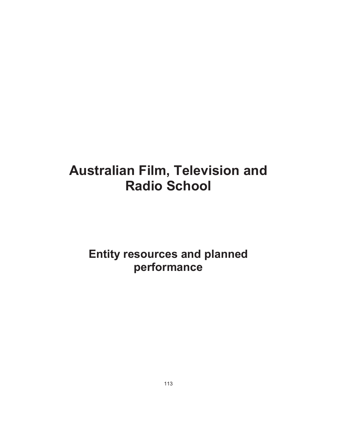**Entity resources and planned performance**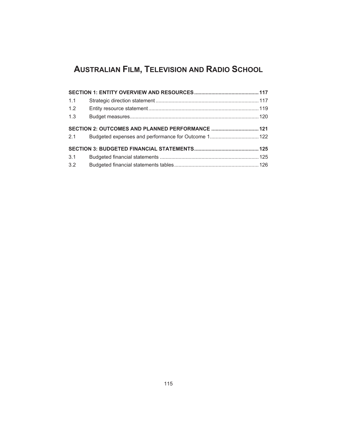# **AUSTRALIAN FILM, TELEVISION AND RADIO SCHOOL**

| 1.1 |  |
|-----|--|
| 1.2 |  |
| 1.3 |  |
| 2.1 |  |
|     |  |
| 3.1 |  |
| 3.2 |  |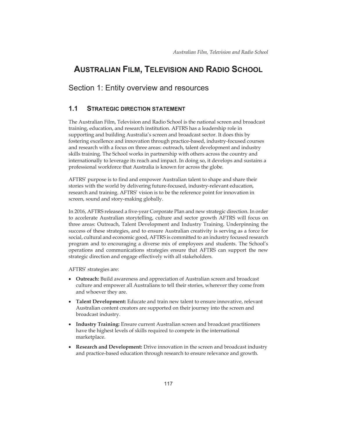# **AUSTRALIAN FILM, TELEVISION AND RADIO SCHOOL**

# Section 1: Entity overview and resources

# **1.1 STRATEGIC DIRECTION STATEMENT**

The Australian Film, Television and Radio School is the national screen and broadcast training, education, and research institution. AFTRS has a leadership role in supporting and building Australia's screen and broadcast sector. It does this by fostering excellence and innovation through practice-based, industry-focused courses and research with a focus on three areas: outreach, talent development and industry skills training. The School works in partnership with others across the country and internationally to leverage its reach and impact. In doing so, it develops and sustains a professional workforce that Australia is known for across the globe.

AFTRS' purpose is to find and empower Australian talent to shape and share their stories with the world by delivering future-focused, industry-relevant education, research and training. AFTRS' vision is to be the reference point for innovation in screen, sound and story-making globally.

In 2016, AFTRS released a five-year Corporate Plan and new strategic direction. In order to accelerate Australian storytelling, culture and sector growth AFTRS will focus on three areas: Outreach, Talent Development and Industry Training. Underpinning the success of these strategies, and to ensure Australian creativity is serving as a force for social, cultural and economic good, AFTRS is committed to an industry focused research program and to encouraging a diverse mix of employees and students. The School's operations and communications strategies ensure that AFTRS can support the new strategic direction and engage effectively with all stakeholders.

AFTRS' strategies are:

- **Outreach:** Build awareness and appreciation of Australian screen and broadcast culture and empower all Australians to tell their stories, wherever they come from and whoever they are.
- **Talent Development:** Educate and train new talent to ensure innovative, relevant Australian content creators are supported on their journey into the screen and broadcast industry.
- x **Industry Training:** Ensure current Australian screen and broadcast practitioners have the highest levels of skills required to compete in the international marketplace.
- x **Research and Development:** Drive innovation in the screen and broadcast industry and practice-based education through research to ensure relevance and growth.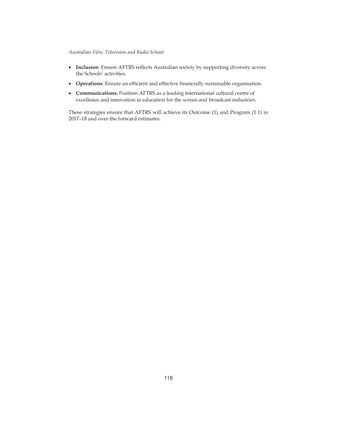- **Inclusion**: Ensure AFTRS reflects Australian society by supporting diversity across the Schools' activities.
- **Operations**: Ensure an efficient and effective financially sustainable organisation.
- x **Communications:** Position AFTRS as a leading international cultural centre of excellence and innovation in education for the screen and broadcast industries.

These strategies ensure that AFTRS will achieve its Outcome (1) and Program (1.1) in 2017–18 and over the forward estimates.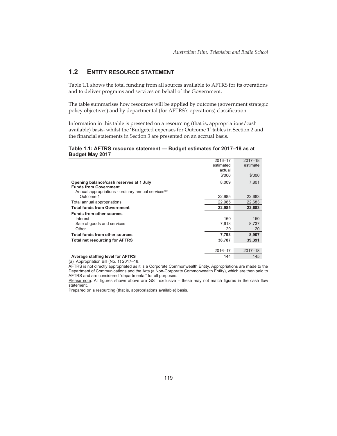# **1.2 ENTITY RESOURCE STATEMENT**

Table 1.1 shows the total funding from all sources available to AFTRS for its operations and to deliver programs and services on behalf of the Government.

The table summarises how resources will be applied by outcome (government strategic policy objectives) and by departmental (for AFTRS's operations) classification.

Information in this table is presented on a resourcing (that is, appropriations/cash available) basis, whilst the 'Budgeted expenses for Outcome 1' tables in Section 2 and the financial statements in Section 3 are presented on an accrual basis.

### **Table 1.1: AFTRS resource statement — Budget estimates for 2017–18 as at Budget May 2017**

|                                                                 | 2016-17   | $2017 - 18$ |
|-----------------------------------------------------------------|-----------|-------------|
|                                                                 | estimated | estimate    |
|                                                                 | actual    |             |
|                                                                 | \$'000    | \$'000      |
| Opening balance/cash reserves at 1 July                         | 8,009     | 7.801       |
| <b>Funds from Government</b>                                    |           |             |
| Annual appropriations - ordinary annual services <sup>(a)</sup> |           |             |
| Outcome 1                                                       | 22.985    | 22,683      |
| Total annual appropriations                                     | 22.985    | 22.683      |
| <b>Total funds from Government</b>                              | 22,985    | 22,683      |
| <b>Funds from other sources</b>                                 |           |             |
| Interest                                                        | 160       | 150         |
| Sale of goods and services                                      | 7,613     | 8,737       |
| Other                                                           | 20        | 20          |
| Total funds from other sources                                  | 7,793     | 8,907       |
| <b>Total net resourcing for AFTRS</b>                           | 38,787    | 39.391      |
|                                                                 |           |             |
|                                                                 | 2016-17   | $2017 - 18$ |
| Average staffing level for AFTRS                                | 144       | 145         |

(a) Appropriation Bill (No. 1) 2017–18.

AFTRS is not directly appropriated as it is a Corporate Commonwealth Entity. Appropriations are made to the Department of Communications and the Arts (a Non-Corporate Commonwealth Entity), which are then paid to AFTRS and are considered "departmental" for all purposes.

Please note: All figures shown above are GST exclusive – these may not match figures in the cash flow statement.

Prepared on a resourcing (that is, appropriations available) basis.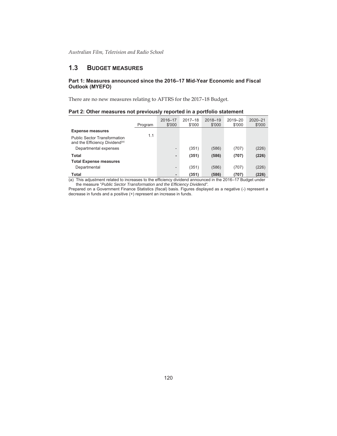# **1.3 BUDGET MEASURES**

## **Part 1: Measures announced since the 2016–17 Mid-Year Economic and Fiscal Outlook (MYEFO)**

There are no new measures relating to AFTRS for the 2017–18 Budget.

| Part 2: Other measures not previously reported in a portfolio statement |  |  |
|-------------------------------------------------------------------------|--|--|
|                                                                         |  |  |

|                                                                                   | Program                                                                                                   | 2016-17<br>\$'000            | $2017 - 18$<br>\$'000 | 2018-19<br>\$'000 | 2019-20<br>\$'000 | $2020 - 21$<br>\$'000 |  |
|-----------------------------------------------------------------------------------|-----------------------------------------------------------------------------------------------------------|------------------------------|-----------------------|-------------------|-------------------|-----------------------|--|
| <b>Expense measures</b>                                                           |                                                                                                           |                              |                       |                   |                   |                       |  |
| <b>Public Sector Transformation</b><br>and the Efficiency Dividend <sup>(a)</sup> | 1.1                                                                                                       |                              |                       |                   |                   |                       |  |
| Departmental expenses                                                             |                                                                                                           | $\overline{\phantom{0}}$     | (351)                 | (586)             | (707)             | (226)                 |  |
| Total                                                                             |                                                                                                           | $\overline{\phantom{a}}$     | (351)                 | (586)             | (707)             | (226)                 |  |
| <b>Total Expense measures</b>                                                     |                                                                                                           |                              |                       |                   |                   |                       |  |
| Departmental                                                                      |                                                                                                           | $\qquad \qquad \blacksquare$ | (351)                 | (586)             | (707)             | (226)                 |  |
| <b>Total</b>                                                                      |                                                                                                           |                              | (351)                 | (586)             | (707)             | (226)                 |  |
|                                                                                   | (a) This adjustment related to increases to the efficiency dividend announced in the 2016–17 Budget under |                              |                       |                   |                   |                       |  |

the measure "*Public Sector Transformation and the Efficiency Dividend".*

Prepared on a Government Finance Statistics (fiscal) basis. Figures displayed as a negative (-) represent a decrease in funds and a positive (+) represent an increase in funds.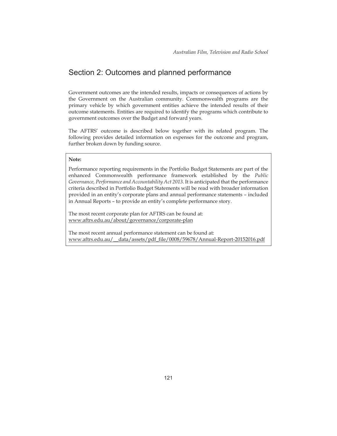# Section 2: Outcomes and planned performance

Government outcomes are the intended results, impacts or consequences of actions by the Government on the Australian community. Commonwealth programs are the primary vehicle by which government entities achieve the intended results of their outcome statements. Entities are required to identify the programs which contribute to government outcomes over the Budget and forward years.

The AFTRS' outcome is described below together with its related program. The following provides detailed information on expenses for the outcome and program, further broken down by funding source.

#### **Note:**

Performance reporting requirements in the Portfolio Budget Statements are part of the enhanced Commonwealth performance framework established by the *Public Governance, Performance and Accountability Act 2013*. It is anticipated that the performance criteria described in Portfolio Budget Statements will be read with broader information provided in an entity's corporate plans and annual performance statements – included in Annual Reports – to provide an entity's complete performance story.

The most recent corporate plan for AFTRS can be found at: www.aftrs.edu.au/about/governance/corporate-plan

The most recent annual performance statement can be found at: www.aftrs.edu.au/\_\_data/assets/pdf\_file/0008/59678/Annual-Report-20152016.pdf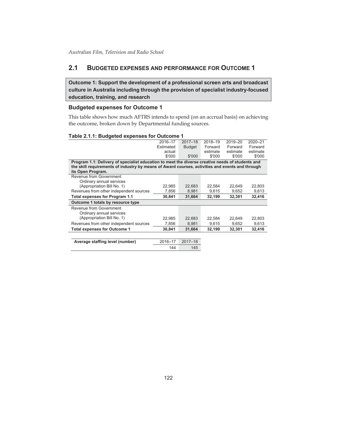# **2.1 BUDGETED EXPENSES AND PERFORMANCE FOR OUTCOME 1**

**Outcome 1: Support the development of a professional screen arts and broadcast culture in Australia including through the provision of specialist industry-focused education, training, and research** 

## **Budgeted expenses for Outcome 1**

This table shows how much AFTRS intends to spend (on an accrual basis) on achieving the outcome, broken down by Departmental funding sources.

#### **Table 2.1.1: Budgeted expenses for Outcome 1**

|                                                                                                  | 2016-17   | $2017 - 18$   | 2018-19  | 2019-20  | 2020-21  |
|--------------------------------------------------------------------------------------------------|-----------|---------------|----------|----------|----------|
|                                                                                                  | Estimated | <b>Budget</b> | Forward  | Forward  | Forward  |
|                                                                                                  | actual    |               | estimate | estimate | estimate |
|                                                                                                  | \$'000    | \$'000        | \$'000   | \$'000   | \$'000   |
| Program 1.1: Delivery of specialist education to meet the diverse creative needs of students and |           |               |          |          |          |
| the skill requirements of industry by means of Award courses, activities and events and through  |           |               |          |          |          |
| its Open Program.                                                                                |           |               |          |          |          |
| Revenue from Government                                                                          |           |               |          |          |          |
| Ordinary annual services                                                                         |           |               |          |          |          |
| (Appropriation Bill No. 1)                                                                       | 22,985    | 22,683        | 22.584   | 22.649   | 22.803   |
| Revenues from other independent sources                                                          | 7,856     | 8,981         | 9,615    | 9,652    | 9,613    |
| Total expenses for Program 1.1                                                                   | 30,841    | 31,664        | 32,199   | 32,301   | 32,416   |
| Outcome 1 totals by resource type                                                                |           |               |          |          |          |
| Revenue from Government                                                                          |           |               |          |          |          |
| Ordinary annual services                                                                         |           |               |          |          |          |
| (Appropriation Bill No. 1)                                                                       | 22,985    | 22,683        | 22,584   | 22,649   | 22,803   |
| Revenues from other independent sources                                                          | 7,856     | 8,981         | 9,615    | 9,652    | 9,613    |
| <b>Total expenses for Outcome 1</b>                                                              | 30,841    | 31,664        | 32,199   | 32,301   | 32,416   |
|                                                                                                  |           |               |          |          |          |
| Average staffing level (number)                                                                  | 2016-17   | $2017 - 18$   |          |          |          |
|                                                                                                  |           |               |          |          |          |
|                                                                                                  | 144       | 145           |          |          |          |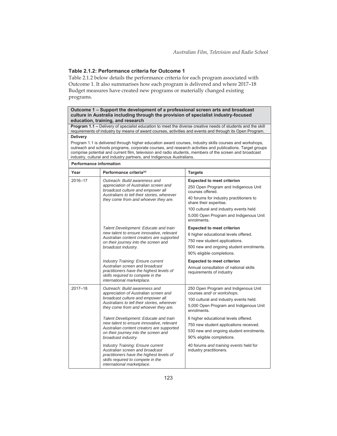## **Table 2.1.2: Performance criteria for Outcome 1**

Table 2.1.2 below details the performance criteria for each program associated with Outcome 1. It also summarises how each program is delivered and where 2017–18 Budget measures have created new programs or materially changed existing programs.

#### **Outcome 1 – Support the development of a professional screen arts and broadcast culture in Australia including through the provision of specialist industry-focused education, training, and research**

**Program 1.1 –** Delivery of specialist education to meet the diverse creative needs of students and the skill requirements of industry by means of award courses, activities and events and through its Open Program. **Delivery** 

#### Program 1.1 is delivered through higher education award courses, industry skills courses and workshops, outreach and schools programs, corporate courses, and research activities and publications. Target groups comprise potential and current film, television and radio students, members of the screen and broadcast industry, cultural and industry partners, and Indigenous Australians.

| <b>Performance information</b> |                                                                                                                                                                                                    |                                                                                                                                                                                                                                                                       |  |  |
|--------------------------------|----------------------------------------------------------------------------------------------------------------------------------------------------------------------------------------------------|-----------------------------------------------------------------------------------------------------------------------------------------------------------------------------------------------------------------------------------------------------------------------|--|--|
| Year                           | Performance criteria <sup>(a)</sup>                                                                                                                                                                | <b>Targets</b>                                                                                                                                                                                                                                                        |  |  |
| 2016-17                        | Outreach: Build awareness and<br>appreciation of Australian screen and<br>broadcast culture and empower all<br>Australians to tell their stories, wherever<br>they come from and whoever they are. | <b>Expected to meet criterion</b><br>250 Open Program and Indigenous Unit<br>courses offered.<br>40 forums for industry practitioners to<br>share their expertise.<br>100 cultural and industry events held.<br>5,000 Open Program and Indigenous Unit<br>enrolments. |  |  |
|                                | Talent Development: Educate and train<br>new talent to ensure innovative, relevant<br>Australian content creators are supported<br>on their journey into the screen and<br>broadcast industry.     | <b>Expected to meet criterion</b><br>6 higher educational levels offered.<br>750 new student applications.<br>500 new and ongoing student enrolments.<br>90% eligible completions.                                                                                    |  |  |
|                                | <b>Industry Training: Ensure current</b><br>Australian screen and broadcast<br>practitioners have the highest levels of<br>skills required to compete in the<br>international marketplace.         | <b>Expected to meet criterion</b><br>Annual consultation of national skills<br>requirements of industry                                                                                                                                                               |  |  |
| 2017-18                        | Outreach: Build awareness and<br>appreciation of Australian screen and<br>broadcast culture and empower all<br>Australians to tell their stories, wherever<br>they come from and whoever they are. | 250 Open Program and Indigenous Unit<br>courses and/ or workshops.<br>100 cultural and industry events held.<br>5,000 Open Program and Indigenous Unit<br>enrolments                                                                                                  |  |  |
|                                | Talent Development: Educate and train<br>new talent to ensure innovative, relevant<br>Australian content creators are supported<br>on their journey into the screen and<br>broadcast industry.     | 6 higher educational levels offered.<br>750 new student applications received.<br>530 new and ongoing student enrolments.<br>90% eligible completions.                                                                                                                |  |  |
|                                | <b>Industry Training: Ensure current</b><br>Australian screen and broadcast<br>practitioners have the highest levels of<br>skills required to compete in the<br>international marketplace.         | 40 forums and training events held for<br>industry practitioners.                                                                                                                                                                                                     |  |  |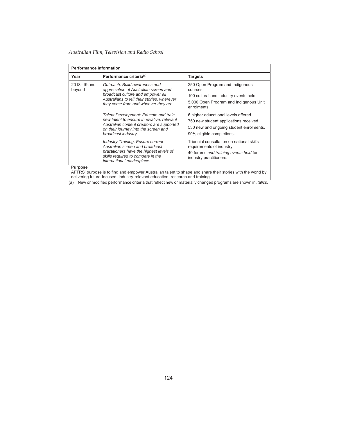| <b>Performance information</b> |                                                                                                                                                                                                    |                                                                                                                                                        |  |  |  |  |
|--------------------------------|----------------------------------------------------------------------------------------------------------------------------------------------------------------------------------------------------|--------------------------------------------------------------------------------------------------------------------------------------------------------|--|--|--|--|
| Year                           | Performance criteria <sup>(a)</sup>                                                                                                                                                                | <b>Targets</b>                                                                                                                                         |  |  |  |  |
| 2018-19 and<br>beyond          | Outreach: Build awareness and<br>appreciation of Australian screen and<br>broadcast culture and empower all<br>Australians to tell their stories, wherever<br>they come from and whoever they are. | 250 Open Program and Indigenous<br>courses.<br>100 cultural and industry events held.<br>5,000 Open Program and Indigenous Unit<br>enrolments.         |  |  |  |  |
|                                | Talent Development: Educate and train<br>new talent to ensure innovative, relevant<br>Australian content creators are supported<br>on their journey into the screen and<br>broadcast industry.     | 6 higher educational levels offered.<br>750 new student applications received.<br>530 new and ongoing student enrolments.<br>90% eligible completions. |  |  |  |  |
|                                | <b>Industry Training: Ensure current</b><br>Australian screen and broadcast<br>practitioners have the highest levels of<br>skills required to compete in the<br>international marketplace.         | Triennial consultation on national skills<br>requirements of industry.<br>40 forums and training events held for<br>industry practitioners.            |  |  |  |  |
| <b>Purpose</b>                 |                                                                                                                                                                                                    |                                                                                                                                                        |  |  |  |  |

AFTRS' purpose is to find and empower Australian talent to shape and share their stories with the world by delivering future-focused, industry-relevant education, research and training.

(a) New or modified performance criteria that reflect new or materially changed programs are shown in *italics*.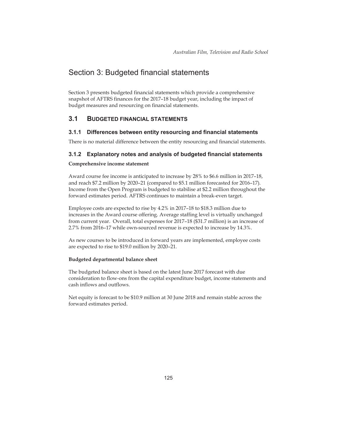# Section 3: Budgeted financial statements

Section 3 presents budgeted financial statements which provide a comprehensive snapshot of AFTRS finances for the 2017–18 budget year, including the impact of budget measures and resourcing on financial statements.

## **3.1 BUDGETED FINANCIAL STATEMENTS**

#### **3.1.1 Differences between entity resourcing and financial statements**

There is no material difference between the entity resourcing and financial statements.

## **3.1.2 Explanatory notes and analysis of budgeted financial statements**

#### **Comprehensive income statement**

Award course fee income is anticipated to increase by 28% to \$6.6 million in 2017–18, and reach \$7.2 million by 2020–21 (compared to \$5.1 million forecasted for 2016–17). Income from the Open Program is budgeted to stabilise at \$2.2 million throughout the forward estimates period. AFTRS continues to maintain a break-even target.

Employee costs are expected to rise by 4.2% in 2017–18 to \$18.3 million due to increases in the Award course offering. Average staffing level is virtually unchanged from current year. Overall, total expenses for 2017–18 (\$31.7 million) is an increase of 2.7% from 2016–17 while own-sourced revenue is expected to increase by 14.3%.

As new courses to be introduced in forward years are implemented, employee costs are expected to rise to \$19.0 million by 2020–21.

#### **Budgeted departmental balance sheet**

The budgeted balance sheet is based on the latest June 2017 forecast with due consideration to flow-ons from the capital expenditure budget, income statements and cash inflows and outflows.

Net equity is forecast to be \$10.9 million at 30 June 2018 and remain stable across the forward estimates period.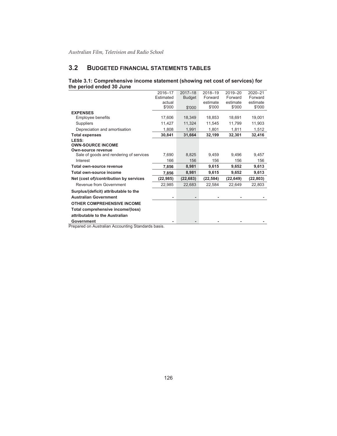# **3.2 BUDGETED FINANCIAL STATEMENTS TABLES**

## **Table 3.1: Comprehensive income statement (showing net cost of services) for the period ended 30 June**

|                                                                | 2016-17   | $2017 - 18$   | 2018-19   | 2019-20   | 2020-21   |
|----------------------------------------------------------------|-----------|---------------|-----------|-----------|-----------|
|                                                                | Estimated | <b>Budget</b> | Forward   | Forward   | Forward   |
|                                                                | actual    |               | estimate  | estimate  | estimate  |
|                                                                | \$'000    | \$'000        | \$'000    | \$'000    | \$'000    |
| <b>EXPENSES</b>                                                |           |               |           |           |           |
| Employee benefits                                              | 17,606    | 18,349        | 18,853    | 18,691    | 19,001    |
| <b>Suppliers</b>                                               | 11,427    | 11,324        | 11.545    | 11,799    | 11,903    |
| Depreciation and amortisation                                  | 1,808     | 1,991         | 1,801     | 1,811     | 1,512     |
| <b>Total expenses</b>                                          | 30,841    | 31,664        | 32,199    | 32,301    | 32,416    |
| LESS:                                                          |           |               |           |           |           |
| <b>OWN-SOURCE INCOME</b>                                       |           |               |           |           |           |
| Own-source revenue                                             |           |               |           |           |           |
| Sale of goods and rendering of services                        | 7.690     | 8,825         | 9.459     | 9.496     | 9,457     |
| Interest                                                       | 166       | 156           | 156       | 156       | 156       |
| Total own-source revenue                                       | 7,856     | 8,981         | 9,615     | 9,652     | 9,613     |
| Total own-source income                                        | 7,856     | 8,981         | 9,615     | 9,652     | 9,613     |
| Net (cost of)/contribution by services                         | (22,985)  | (22, 683)     | (22, 584) | (22, 649) | (22, 803) |
| Revenue from Government                                        | 22,985    | 22,683        | 22,584    | 22,649    | 22,803    |
| Surplus/(deficit) attributable to the                          |           |               |           |           |           |
| <b>Australian Government</b>                                   |           |               |           |           |           |
| <b>OTHER COMPREHENSIVE INCOME</b>                              |           |               |           |           |           |
| Total comprehensive income/(loss)                              |           |               |           |           |           |
| attributable to the Australian                                 |           |               |           |           |           |
| Government<br>Cronared on Augtralian Aconuming Ctenderde begin |           |               |           |           |           |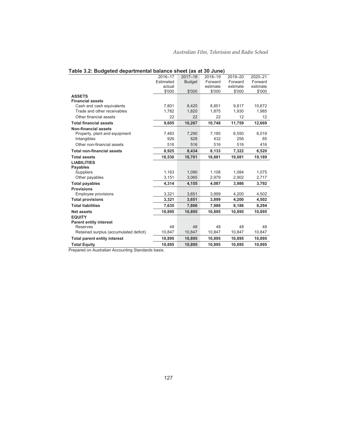|                                        | 2016-17   | $2017 - 18$   | 2018-19  | 2019-20  | 2020-21  |
|----------------------------------------|-----------|---------------|----------|----------|----------|
|                                        | Estimated | <b>Budget</b> | Forward  | Forward  | Forward  |
|                                        | actual    |               | estimate | estimate | estimate |
|                                        | \$'000    | \$'000        | \$'000   | \$'000   | \$'000   |
| <b>ASSETS</b>                          |           |               |          |          |          |
| <b>Financial assets</b>                |           |               |          |          |          |
| Cash and cash equivalents              | 7,801     | 8,425         | 8,851    | 9,817    | 10,672   |
| Trade and other receivables            | 1,782     | 1,820         | 1,875    | 1,930    | 1,985    |
| Other financial assets                 | 22        | 22            | 22       | 12       | 12       |
| <b>Total financial assets</b>          | 9,605     | 10,267        | 10,748   | 11,759   | 12,669   |
| <b>Non-financial assets</b>            |           |               |          |          |          |
| Property, plant and equipment          | 7,483     | 7,290         | 7,185    | 6.550    | 6,019    |
| Intangibles                            | 926       | 628           | 432      | 256      | 85       |
| Other non-financial assets             | 516       | 516           | 516      | 516      | 416      |
| <b>Total non-financial assets</b>      | 8,925     | 8,434         | 8,133    | 7,322    | 6,520    |
| <b>Total assets</b>                    | 18,530    | 18,701        | 18,881   | 19,081   | 19,189   |
| <b>LIABILITIES</b>                     |           |               |          |          |          |
| <b>Payables</b>                        |           |               |          |          |          |
| Suppliers                              | 1,163     | 1,090         | 1.108    | 1,084    | 1,075    |
| Other payables                         | 3,151     | 3,065         | 2,979    | 2,902    | 2,717    |
| <b>Total payables</b>                  | 4,314     | 4,155         | 4,087    | 3,986    | 3,792    |
| <b>Provisions</b>                      |           |               |          |          |          |
| Employee provisions                    | 3,321     | 3,651         | 3,899    | 4.200    | 4,502    |
| <b>Total provisions</b>                | 3,321     | 3,651         | 3,899    | 4,200    | 4,502    |
| <b>Total liabilities</b>               | 7,635     | 7,806         | 7,986    | 8,186    | 8,294    |
| <b>Net assets</b>                      | 10,895    | 10,895        | 10.895   | 10,895   | 10,895   |
| <b>EQUITY</b>                          |           |               |          |          |          |
| <b>Parent entity interest</b>          |           |               |          |          |          |
| <b>Reserves</b>                        | 48        | 48            | 48       | 48       | 48       |
| Retained surplus (accumulated deficit) | 10,847    | 10,847        | 10,847   | 10,847   | 10,847   |
| <b>Total parent entity interest</b>    | 10,895    | 10,895        | 10,895   | 10,895   | 10,895   |
| <b>Total Equity</b>                    | 10,895    | 10,895        | 10,895   | 10,895   | 10,895   |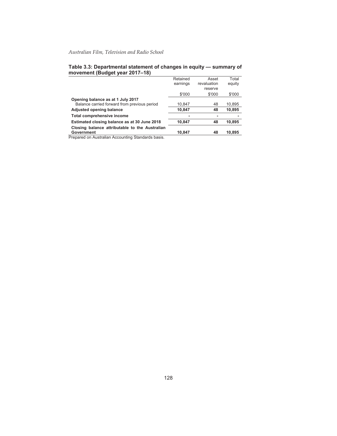|                                                | Retained | Asset       | Total  |
|------------------------------------------------|----------|-------------|--------|
|                                                | earnings | revaluation | equity |
|                                                |          | reserve     |        |
|                                                | \$'000   | \$'000      | \$'000 |
| Opening balance as at 1 July 2017              |          |             |        |
| Balance carried forward from previous period   | 10,847   | 48          | 10,895 |
| Adjusted opening balance                       | 10,847   | 48          | 10,895 |
| Total comprehensive income                     |          |             |        |
| Estimated closing balance as at 30 June 2018   | 10,847   | 48          | 10,895 |
| Closing balance attributable to the Australian |          |             |        |
| Government                                     | 10.847   | 48          | 10.895 |

#### **Table 3.3: Departmental statement of changes in equity — summary of movement (Budget year 2017–18)**   $\overline{\phantom{a}}$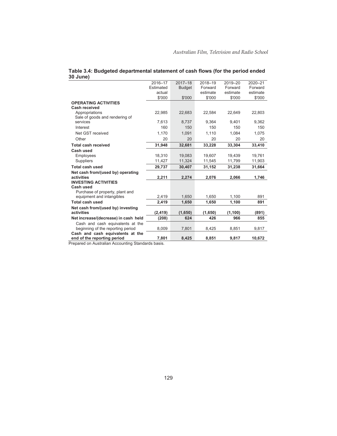|                                      | 2016-17   | $2017 - 18$   | 2018-19  | 2019-20  | 2020-21  |
|--------------------------------------|-----------|---------------|----------|----------|----------|
|                                      | Estimated | <b>Budget</b> | Forward  | Forward  | Forward  |
|                                      | actual    |               | estimate | estimate | estimate |
|                                      | \$'000    | \$'000        | \$'000   | \$'000   | \$'000   |
| <b>OPERATING ACTIVITIES</b>          |           |               |          |          |          |
| Cash received                        |           |               |          |          |          |
| Appropriations                       | 22,985    | 22,683        | 22.584   | 22,649   | 22,803   |
| Sale of goods and rendering of       |           |               |          |          |          |
| services                             | 7,613     | 8,737         | 9.364    | 9,401    | 9,362    |
| Interest                             | 160       | 150           | 150      | 150      | 150      |
| Net GST received                     | 1,170     | 1,091         | 1,110    | 1,084    | 1,075    |
| Other                                | 20        | 20            | 20       | 20       | 20       |
| <b>Total cash received</b>           | 31,948    | 32,681        | 33,228   | 33,304   | 33,410   |
| Cash used                            |           |               |          |          |          |
| Employees                            | 18,310    | 19,083        | 19,607   | 19,439   | 19,761   |
| <b>Suppliers</b>                     | 11,427    | 11,324        | 11,545   | 11,799   | 11,903   |
| <b>Total cash used</b>               | 29,737    | 30,407        | 31,152   | 31,238   | 31,664   |
| Net cash from/(used by) operating    |           |               |          |          |          |
| activities                           | 2,211     | 2,274         | 2,076    | 2,066    | 1,746    |
| <b>INVESTING ACTIVITIES</b>          |           |               |          |          |          |
| Cash used                            |           |               |          |          |          |
| Purchase of property, plant and      |           |               |          |          |          |
| equipment and intangibles            | 2,419     | 1,650         | 1,650    | 1,100    | 891      |
| <b>Total cash used</b>               | 2.419     | 1.650         | 1.650    | 1.100    | 891      |
| Net cash from/(used by) investing    |           |               |          |          |          |
| activities                           | (2, 419)  | (1,650)       | (1,650)  | (1, 100) | (891)    |
| Net increase/(decrease) in cash held | (208)     | 624           | 426      | 966      | 855      |
| Cash and cash equivalents at the     |           |               |          |          |          |
| beginning of the reporting period    | 8,009     | 7,801         | 8,425    | 8,851    | 9,817    |
| Cash and cash equivalents at the     |           |               |          |          |          |
| end of the reporting period          | 7,801     | 8,425         | 8,851    | 9,817    | 10,672   |

| Table 3.4: Budgeted departmental statement of cash flows (for the period ended |  |
|--------------------------------------------------------------------------------|--|
| 30 June)                                                                       |  |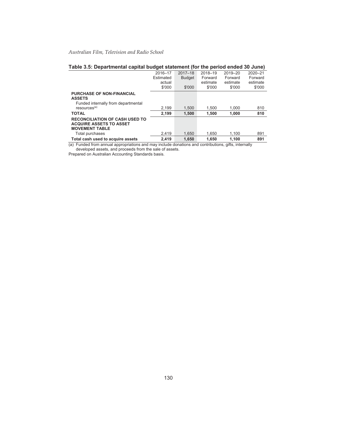| rapic J.J. Departmental capital budget statement (for the period ended JV June) |           |               |          |          |          |
|---------------------------------------------------------------------------------|-----------|---------------|----------|----------|----------|
|                                                                                 | 2016-17   | $2017 - 18$   | 2018-19  | 2019-20  | 2020-21  |
|                                                                                 | Estimated | <b>Budget</b> | Forward  | Forward  | Forward  |
|                                                                                 | actual    |               | estimate | estimate | estimate |
|                                                                                 | \$'000    | \$'000        | \$'000   | \$'000   | \$'000   |
| <b>PURCHASE OF NON-FINANCIAL</b>                                                |           |               |          |          |          |
| <b>ASSETS</b>                                                                   |           |               |          |          |          |
| Funded internally from departmental                                             |           |               |          |          |          |
| resources <sup>(a)</sup>                                                        | 2.199     | 1.500         | 1.500    | 1.000    | 810      |
| <b>TOTAL</b>                                                                    | 2.199     | 1.500         | 1.500    | 1.000    | 810      |
| <b>RECONCILIATION OF CASH USED TO</b>                                           |           |               |          |          |          |
| <b>ACQUIRE ASSETS TO ASSET</b>                                                  |           |               |          |          |          |
| <b>MOVEMENT TABLE</b>                                                           |           |               |          |          |          |
| Total purchases                                                                 | 2.419     | 1.650         | 1.650    | 1.100    | 891      |
| Total cash used to acquire assets                                               | 2.419     | 1.650         | 1.650    | 1.100    | 891      |

## **Table 3.5: Departmental capital budget statement (for the period ended 30 June)**

(a) Funded from annual appropriations and may include donations and contributions, gifts, internally developed assets, and proceeds from the sale of assets.